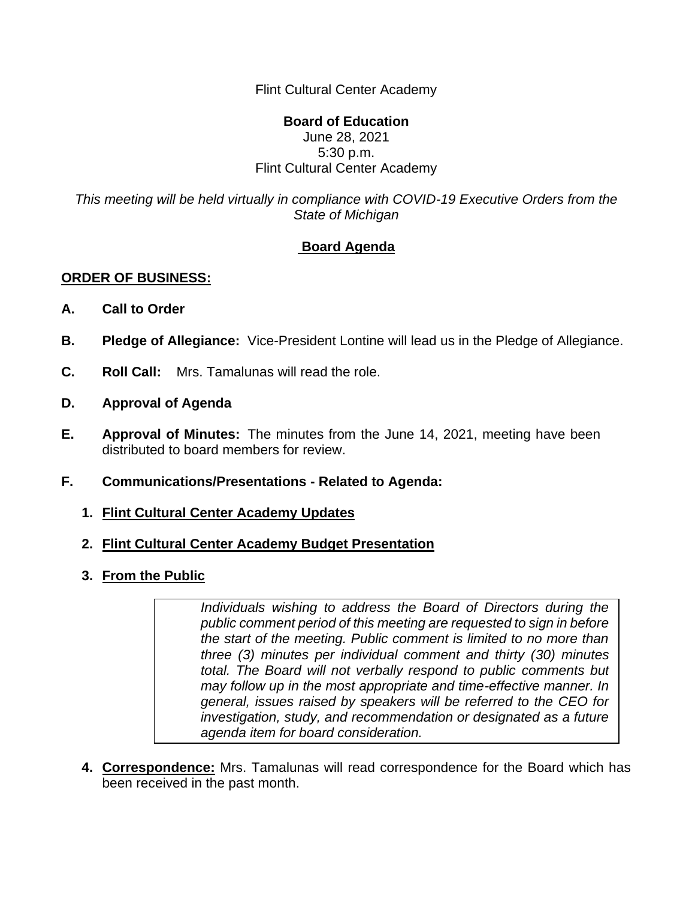Flint Cultural Center Academy

## **Board of Education** June 28, 2021 5:30 p.m. Flint Cultural Center Academy

*This meeting will be held virtually in compliance with COVID-19 Executive Orders from the State of Michigan*

## **Board Agenda**

## **ORDER OF BUSINESS:**

- **A. Call to Order**
- **B. Pledge of Allegiance:** Vice-President Lontine will lead us in the Pledge of Allegiance.
- **C. Roll Call:** Mrs. Tamalunas will read the role.
- **D. Approval of Agenda**
- **E. Approval of Minutes:** The minutes from the June 14, 2021, meeting have been distributed to board members for review.
- **F. Communications/Presentations - Related to Agenda:**
	- **1. Flint Cultural Center Academy Updates**
	- **2. Flint Cultural Center Academy Budget Presentation**
	- **3. From the Public**

*Individuals wishing to address the Board of Directors during the public comment period of this meeting are requested to sign in before the start of the meeting. Public comment is limited to no more than three (3) minutes per individual comment and thirty (30) minutes total. The Board will not verbally respond to public comments but may follow up in the most appropriate and time-effective manner. In general, issues raised by speakers will be referred to the CEO for investigation, study, and recommendation or designated as a future agenda item for board consideration.*

**4. Correspondence:** Mrs. Tamalunas will read correspondence for the Board which has been received in the past month.